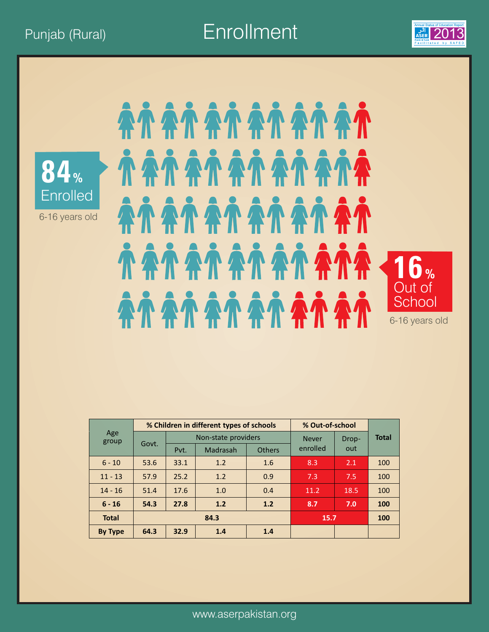Punjab (Rural) **Enrollment** 2013





6-16 years old

## *<i>NANANANANA* AÀ AÀ AÀ AÀ AÀ AÀ **TATATATATATA 16%**  Out of **School** 6-16 years old

|                |       |      | % Children in different types of schools |               | % Out-of-school |       |              |
|----------------|-------|------|------------------------------------------|---------------|-----------------|-------|--------------|
| Age<br>group   | Govt. |      | Non-state providers                      |               | <b>Never</b>    | Drop- | <b>Total</b> |
|                |       | Pvt. | Madrasah                                 | <b>Others</b> | enrolled        | out   |              |
| $6 - 10$       | 53.6  | 33.1 | 1.2                                      | 1.6           | 8.3             | 2.1   | 100          |
| $11 - 13$      | 57.9  | 25.2 | 1.2                                      | 0.9           | 7.3             | 7.5   | 100          |
| $14 - 16$      | 51.4  | 17.6 | 1.0                                      | 0.4           | 11.2            | 18.5  | 100          |
| $6 - 16$       | 54.3  | 27.8 | 1.2                                      | 1.2           | 8.7             | 7.0   | 100          |
| <b>Total</b>   | 84.3  |      |                                          |               | 15.7            |       | <b>100</b>   |
| <b>By Type</b> | 64.3  | 32.9 | 1.4                                      | 1.4           |                 |       |              |

www.aserpakistan.org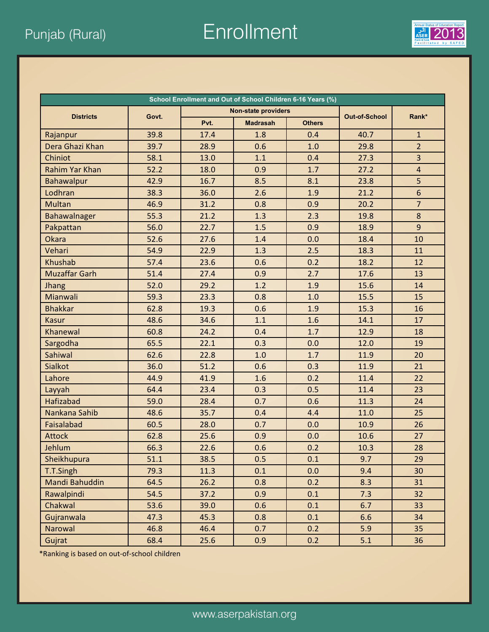Punjab (Rural) **Enrollment** 2013



| School Enrollment and Out of School Children 6-16 Years (%) |       |      |                     |               |                      |                |  |  |
|-------------------------------------------------------------|-------|------|---------------------|---------------|----------------------|----------------|--|--|
| <b>Districts</b>                                            | Govt. |      | Non-state providers |               | Rank*                |                |  |  |
|                                                             |       | Pvt. | <b>Madrasah</b>     | <b>Others</b> | <b>Out-of-School</b> |                |  |  |
| Rajanpur                                                    | 39.8  | 17.4 | 1.8                 | 0.4           | 40.7                 | $\mathbf{1}$   |  |  |
| Dera Ghazi Khan                                             | 39.7  | 28.9 | 0.6                 | 1.0           | 29.8                 | $\overline{2}$ |  |  |
| Chiniot                                                     | 58.1  | 13.0 | 1.1                 | 0.4           | 27.3                 | 3              |  |  |
| <b>Rahim Yar Khan</b>                                       | 52.2  | 18.0 | 0.9                 | 1.7           | 27.2                 | $\overline{4}$ |  |  |
| Bahawalpur                                                  | 42.9  | 16.7 | 8.5                 | 8.1           | 23.8                 | 5              |  |  |
| Lodhran                                                     | 38.3  | 36.0 | 2.6                 | 1.9           | 21.2                 | $6\phantom{a}$ |  |  |
| <b>Multan</b>                                               | 46.9  | 31.2 | 0.8                 | 0.9           | 20.2                 | $\overline{7}$ |  |  |
| Bahawalnager                                                | 55.3  | 21.2 | 1.3                 | 2.3           | 19.8                 | $\bf 8$        |  |  |
| Pakpattan                                                   | 56.0  | 22.7 | 1.5                 | 0.9           | 18.9                 | 9              |  |  |
| <b>Okara</b>                                                | 52.6  | 27.6 | 1.4                 | 0.0           | 18.4                 | 10             |  |  |
| Vehari                                                      | 54.9  | 22.9 | 1.3                 | 2.5           | 18.3                 | 11             |  |  |
| Khushab                                                     | 57.4  | 23.6 | 0.6                 | 0.2           | 18.2                 | 12             |  |  |
| <b>Muzaffar Garh</b>                                        | 51.4  | 27.4 | 0.9                 | 2.7           | 17.6                 | 13             |  |  |
| Jhang                                                       | 52.0  | 29.2 | 1.2                 | 1.9           | 15.6                 | 14             |  |  |
| Mianwali                                                    | 59.3  | 23.3 | 0.8                 | 1.0           | 15.5                 | 15             |  |  |
| <b>Bhakkar</b>                                              | 62.8  | 19.3 | 0.6                 | 1.9           | 15.3                 | 16             |  |  |
| <b>Kasur</b>                                                | 48.6  | 34.6 | 1.1                 | 1.6           | 14.1                 | 17             |  |  |
| Khanewal                                                    | 60.8  | 24.2 | 0.4                 | 1.7           | 12.9                 | 18             |  |  |
| Sargodha                                                    | 65.5  | 22.1 | 0.3                 | 0.0           | 12.0                 | 19             |  |  |
| Sahiwal                                                     | 62.6  | 22.8 | 1.0                 | 1.7           | 11.9                 | 20             |  |  |
| <b>Sialkot</b>                                              | 36.0  | 51.2 | 0.6                 | 0.3           | 11.9                 | 21             |  |  |
| Lahore                                                      | 44.9  | 41.9 | 1.6                 | 0.2           | 11.4                 | 22             |  |  |
| Layyah                                                      | 64.4  | 23.4 | 0.3                 | 0.5           | 11.4                 | 23             |  |  |
| <b>Hafizabad</b>                                            | 59.0  | 28.4 | 0.7                 | 0.6           | 11.3                 | 24             |  |  |
| Nankana Sahib                                               | 48.6  | 35.7 | 0.4                 | 4.4           | 11.0                 | 25             |  |  |
| Faisalabad                                                  | 60.5  | 28.0 | 0.7                 | 0.0           | 10.9                 | 26             |  |  |
| <b>Attock</b>                                               | 62.8  | 25.6 | 0.9                 | 0.0           | 10.6                 | 27             |  |  |
| Jehlum                                                      | 66.3  | 22.6 | 0.6                 | 0.2           | 10.3                 | 28             |  |  |
| Sheikhupura                                                 | 51.1  | 38.5 | 0.5                 | 0.1           | 9.7                  | 29             |  |  |
| T.T.Singh                                                   | 79.3  | 11.3 | 0.1                 | 0.0           | 9.4                  | 30             |  |  |
| Mandi Bahuddin                                              | 64.5  | 26.2 | 0.8                 | 0.2           | 8.3                  | 31             |  |  |
| Rawalpindi                                                  | 54.5  | 37.2 | 0.9                 | 0.1           | 7.3                  | 32             |  |  |
| Chakwal                                                     | 53.6  | 39.0 | 0.6                 | 0.1           | 6.7                  | 33             |  |  |
| Gujranwala                                                  | 47.3  | 45.3 | 0.8                 | 0.1           | 6.6                  | 34             |  |  |
| Narowal                                                     | 46.8  | 46.4 | 0.7                 | 0.2           | 5.9                  | 35             |  |  |
| Gujrat                                                      | 68.4  | 25.6 | 0.9                 | 0.2           | 5.1                  | 36             |  |  |

\*Ranking is based on out-of-school children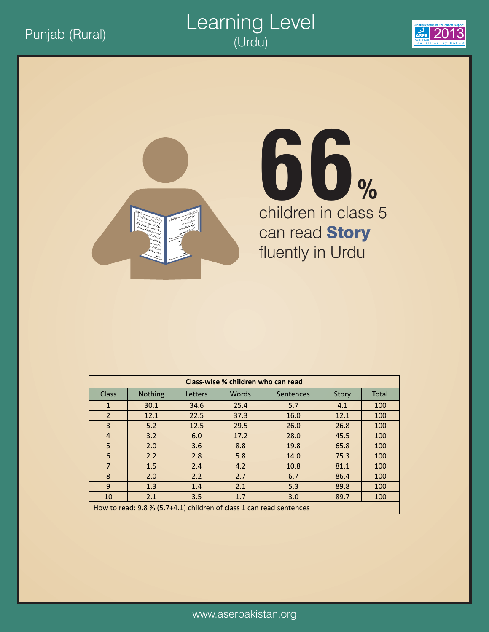



# children in class 5 can read **Story** fluently in Urdu **66%**

| Class-wise % children who can read |                                                                     |         |              |                  |              |       |  |  |  |  |
|------------------------------------|---------------------------------------------------------------------|---------|--------------|------------------|--------------|-------|--|--|--|--|
| <b>Class</b>                       | Nothing                                                             | Letters | <b>Words</b> | <b>Sentences</b> | <b>Story</b> | Total |  |  |  |  |
| $\mathbf{1}$                       | 30.1                                                                | 34.6    | 25.4         | 5.7              | 4.1          | 100   |  |  |  |  |
| $\overline{2}$                     | 12.1                                                                | 22.5    | 37.3         | 16.0             | 12.1         | 100   |  |  |  |  |
| 3                                  | 5.2                                                                 | 12.5    | 29.5         | 26.0             | 26.8         | 100   |  |  |  |  |
| $\overline{4}$                     | 3.2                                                                 | 6.0     | 17.2         | 28.0             | 45.5         | 100   |  |  |  |  |
| 5                                  | 2.0                                                                 | 3.6     | 8.8          | 19.8             | 65.8         | 100   |  |  |  |  |
| 6                                  | 2.2                                                                 | 2.8     | 5.8          | 14.0             | 75.3         | 100   |  |  |  |  |
| $\overline{7}$                     | 1.5                                                                 | 2.4     | 4.2          | 10.8             | 81.1         | 100   |  |  |  |  |
| 8                                  | 2.0                                                                 | 2.2     | 2.7          | 6.7              | 86.4         | 100   |  |  |  |  |
| 9                                  | 1.3                                                                 | 1.4     | 2.1          | 5.3              | 89.8         | 100   |  |  |  |  |
| 10                                 | 2.1                                                                 | 3.5     | 1.7          | 3.0              | 89.7         | 100   |  |  |  |  |
|                                    | How to read: 9.8 % (5.7+4.1) children of class 1 can read sentences |         |              |                  |              |       |  |  |  |  |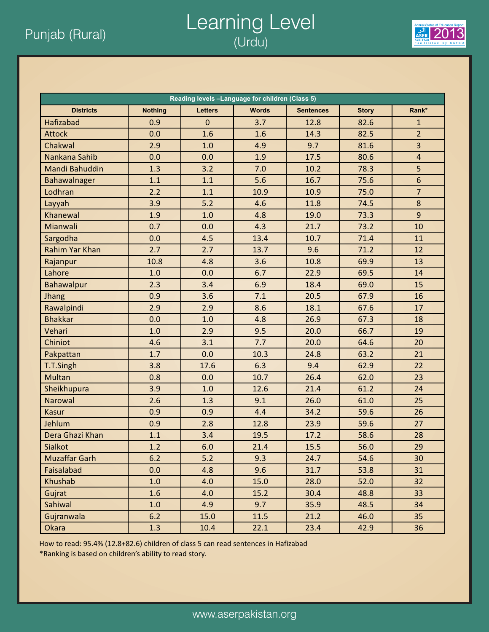### Punjab (Rural) 2013 Learning Level (Urdu)



| Reading levels -Language for children (Class 5) |                |                |              |                  |              |                         |  |  |  |
|-------------------------------------------------|----------------|----------------|--------------|------------------|--------------|-------------------------|--|--|--|
| <b>Districts</b>                                | <b>Nothing</b> | <b>Letters</b> | <b>Words</b> | <b>Sentences</b> | <b>Story</b> | Rank*                   |  |  |  |
| Hafizabad                                       | 0.9            | $\mathbf 0$    | 3.7          | 12.8             | 82.6         | $\mathbf{1}$            |  |  |  |
| <b>Attock</b>                                   | 0.0            | 1.6            | 1.6          | 14.3             | 82.5         | $\overline{2}$          |  |  |  |
| Chakwal                                         | 2.9            | 1.0            | 4.9          | 9.7              | 81.6         | $\overline{\mathbf{3}}$ |  |  |  |
| Nankana Sahib                                   | 0.0            | 0.0            | 1.9          | 17.5             | 80.6         | $\overline{4}$          |  |  |  |
| Mandi Bahuddin                                  | 1.3            | 3.2            | 7.0          | 10.2             | 78.3         | 5                       |  |  |  |
| Bahawalnager                                    | 1.1            | 1.1            | 5.6          | 16.7             | 75.6         | $6\phantom{a}$          |  |  |  |
| Lodhran                                         | 2.2            | 1.1            | 10.9         | 10.9             | 75.0         | $\overline{7}$          |  |  |  |
| Layyah                                          | 3.9            | 5.2            | 4.6          | 11.8             | 74.5         | 8                       |  |  |  |
| Khanewal                                        | 1.9            | 1.0            | 4.8          | 19.0             | 73.3         | $\overline{9}$          |  |  |  |
| Mianwali                                        | 0.7            | 0.0            | 4.3          | 21.7             | 73.2         | 10                      |  |  |  |
| Sargodha                                        | 0.0            | 4.5            | 13.4         | 10.7             | 71.4         | 11                      |  |  |  |
| <b>Rahim Yar Khan</b>                           | 2.7            | 2.7            | 13.7         | 9.6              | 71.2         | 12                      |  |  |  |
| Rajanpur                                        | 10.8           | 4.8            | 3.6          | 10.8             | 69.9         | 13                      |  |  |  |
| Lahore                                          | 1.0            | 0.0            | 6.7          | 22.9             | 69.5         | 14                      |  |  |  |
| Bahawalpur                                      | 2.3            | 3.4            | 6.9          | 18.4             | 69.0         | 15                      |  |  |  |
| Jhang                                           | 0.9            | 3.6            | 7.1          | 20.5             | 67.9         | 16                      |  |  |  |
| Rawalpindi                                      | 2.9            | 2.9            | 8.6          | 18.1             | 67.6         | 17                      |  |  |  |
| <b>Bhakkar</b>                                  | 0.0            | 1.0            | 4.8          | 26.9             | 67.3         | 18                      |  |  |  |
| Vehari                                          | 1.0            | 2.9            | 9.5          | 20.0             | 66.7         | 19                      |  |  |  |
| Chiniot                                         | 4.6            | 3.1            | 7.7          | 20.0             | 64.6         | 20                      |  |  |  |
| Pakpattan                                       | 1.7            | 0.0            | 10.3         | 24.8             | 63.2         | 21                      |  |  |  |
| T.T.Singh                                       | 3.8            | 17.6           | 6.3          | 9.4              | 62.9         | 22                      |  |  |  |
| <b>Multan</b>                                   | 0.8            | 0.0            | 10.7         | 26.4             | 62.0         | 23                      |  |  |  |
| Sheikhupura                                     | 3.9            | 1.0            | 12.6         | 21.4             | 61.2         | 24                      |  |  |  |
| Narowal                                         | 2.6            | 1.3            | 9.1          | 26.0             | 61.0         | 25                      |  |  |  |
| <b>Kasur</b>                                    | 0.9            | 0.9            | 4.4          | 34.2             | 59.6         | 26                      |  |  |  |
| Jehlum                                          | 0.9            | 2.8            | 12.8         | 23.9             | 59.6         | 27                      |  |  |  |
| Dera Ghazi Khan                                 | 1.1            | 3.4            | 19.5         | 17.2             | 58.6         | 28                      |  |  |  |
| Sialkot                                         | 1.2            | 6.0            | 21.4         | 15.5             | 56.0         | 29                      |  |  |  |
| <b>Muzaffar Garh</b>                            | 6.2            | 5.2            | 9.3          | 24.7             | 54.6         | 30                      |  |  |  |
| Faisalabad                                      | 0.0            | 4.8            | 9.6          | 31.7             | 53.8         | 31                      |  |  |  |
| Khushab                                         | 1.0            | 4.0            | 15.0         | 28.0             | 52.0         | 32                      |  |  |  |
| Gujrat                                          | 1.6            | 4.0            | 15.2         | 30.4             | 48.8         | 33                      |  |  |  |
| Sahiwal                                         | 1.0            | 4.9            | 9.7          | 35.9             | 48.5         | 34                      |  |  |  |
| Gujranwala                                      | 6.2            | 15.0           | 11.5         | 21.2             | 46.0         | 35                      |  |  |  |
| Okara                                           | 1.3            | 10.4           | 22.1         | 23.4             | 42.9         | 36                      |  |  |  |

How to read: 95.4% (12.8+82.6) children of class 5 can read sentences in Hafizabad

\*Ranking is based on children's ability to read story.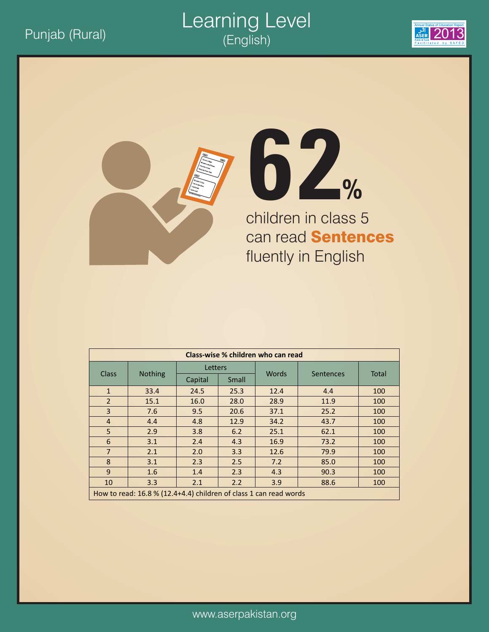### Punjab (Rural) 2013 Learning Level (English)







children in class 5 can read **Sentences** fluently in English

| Class-wise % children who can read |                                                                   |         |       |              |           |              |  |  |  |
|------------------------------------|-------------------------------------------------------------------|---------|-------|--------------|-----------|--------------|--|--|--|
| <b>Class</b>                       |                                                                   | Letters |       | <b>Words</b> |           | <b>Total</b> |  |  |  |
|                                    | <b>Nothing</b>                                                    | Capital | Small |              | Sentences |              |  |  |  |
| $\mathbf{1}$                       | 33.4                                                              | 24.5    | 25.3  | 12.4         | 4.4       | 100          |  |  |  |
| $\mathcal{P}$                      | 15.1                                                              | 16.0    | 28.0  | 28.9         | 11.9      | 100          |  |  |  |
| 3                                  | 7.6                                                               | 9.5     | 20.6  | 37.1         | 25.2      | 100          |  |  |  |
| 4                                  | 4.4                                                               | 4.8     | 12.9  | 34.2         | 43.7      | 100          |  |  |  |
| 5                                  | 2.9                                                               | 3.8     | 6.2   | 25.1         | 62.1      | 100          |  |  |  |
| 6                                  | 3.1                                                               | 2.4     | 4.3   | 16.9         | 73.2      | 100          |  |  |  |
| $\overline{7}$                     | 2.1                                                               | 2.0     | 3.3   | 12.6         | 79.9      | 100          |  |  |  |
| 8                                  | 3.1                                                               | 2.3     | 2.5   | 7.2          | 85.0      | 100          |  |  |  |
| 9                                  | 1.6                                                               | 1.4     | 2.3   | 4.3          | 90.3      | 100          |  |  |  |
| 10                                 | 3.3                                                               | 2.1     | 2.2   | 3.9          | 88.6      | 100          |  |  |  |
|                                    | How to read: 16.8 % (12.4+4.4) children of class 1 can read words |         |       |              |           |              |  |  |  |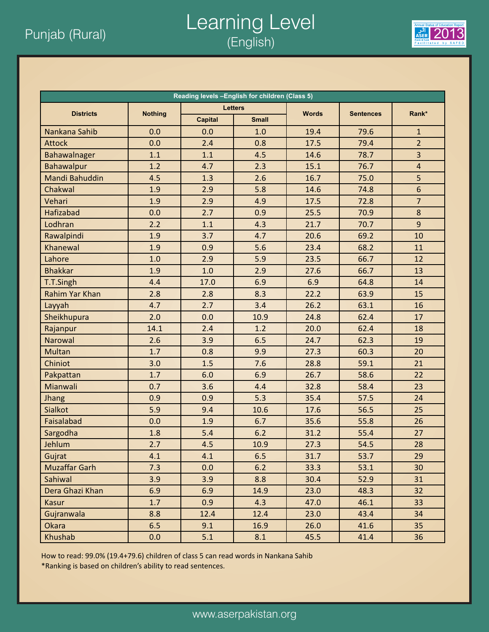### Punjab (Rural) **2013**<br>*Punjab (Rural)* (English) Learning Level (English)



| Reading levels -English for children (Class 5) |                |                |                |              |                  |                         |  |  |  |
|------------------------------------------------|----------------|----------------|----------------|--------------|------------------|-------------------------|--|--|--|
| <b>Districts</b>                               | <b>Nothing</b> |                | <b>Letters</b> | <b>Words</b> |                  | Rank*                   |  |  |  |
|                                                |                | <b>Capital</b> | <b>Small</b>   |              | <b>Sentences</b> |                         |  |  |  |
| Nankana Sahib                                  | 0.0            | 0.0            | 1.0            | 19.4         | 79.6             | $\mathbf{1}$            |  |  |  |
| <b>Attock</b>                                  | 0.0            | 2.4            | 0.8            | 17.5         | 79.4             | $\overline{2}$          |  |  |  |
| Bahawalnager                                   | 1.1            | 1.1            | 4.5            | 14.6         | 78.7             | $\overline{\mathbf{3}}$ |  |  |  |
| Bahawalpur                                     | 1.2            | 4.7            | 2.3            | 15.1         | 76.7             | $\overline{4}$          |  |  |  |
| <b>Mandi Bahuddin</b>                          | 4.5            | 1.3            | 2.6            | 16.7         | 75.0             | 5                       |  |  |  |
| Chakwal                                        | 1.9            | 2.9            | 5.8            | 14.6         | 74.8             | $6\phantom{a}$          |  |  |  |
| Vehari                                         | 1.9            | 2.9            | 4.9            | 17.5         | 72.8             | $\overline{7}$          |  |  |  |
| <b>Hafizabad</b>                               | 0.0            | 2.7            | 0.9            | 25.5         | 70.9             | 8                       |  |  |  |
| Lodhran                                        | 2.2            | 1.1            | 4.3            | 21.7         | 70.7             | 9                       |  |  |  |
| Rawalpindi                                     | 1.9            | 3.7            | 4.7            | 20.6         | 69.2             | 10                      |  |  |  |
| Khanewal                                       | 1.9            | 0.9            | 5.6            | 23.4         | 68.2             | 11                      |  |  |  |
| Lahore                                         | 1.0            | 2.9            | 5.9            | 23.5         | 66.7             | 12                      |  |  |  |
| <b>Bhakkar</b>                                 | 1.9            | 1.0            | 2.9            | 27.6         | 66.7             | 13                      |  |  |  |
| T.T.Singh                                      | 4.4            | 17.0           | 6.9            | 6.9          | 64.8             | 14                      |  |  |  |
| <b>Rahim Yar Khan</b>                          | 2.8            | 2.8            | 8.3            | 22.2         | 63.9             | 15                      |  |  |  |
| Layyah                                         | 4.7            | 2.7            | 3.4            | 26.2         | 63.1             | 16                      |  |  |  |
| Sheikhupura                                    | 2.0            | 0.0            | 10.9           | 24.8         | 62.4             | 17                      |  |  |  |
| Rajanpur                                       | 14.1           | 2.4            | 1.2            | 20.0         | 62.4             | 18                      |  |  |  |
| Narowal                                        | 2.6            | 3.9            | 6.5            | 24.7         | 62.3             | 19                      |  |  |  |
| <b>Multan</b>                                  | 1.7            | 0.8            | 9.9            | 27.3         | 60.3             | 20                      |  |  |  |
| Chiniot                                        | 3.0            | 1.5            | 7.6            | 28.8         | 59.1             | 21                      |  |  |  |
| Pakpattan                                      | 1.7            | 6.0            | 6.9            | 26.7         | 58.6             | 22                      |  |  |  |
| Mianwali                                       | 0.7            | 3.6            | 4.4            | 32.8         | 58.4             | 23                      |  |  |  |
| Jhang                                          | 0.9            | 0.9            | 5.3            | 35.4         | 57.5             | 24                      |  |  |  |
| <b>Sialkot</b>                                 | 5.9            | 9.4            | 10.6           | 17.6         | 56.5             | 25                      |  |  |  |
| Faisalabad                                     | 0.0            | 1.9            | 6.7            | 35.6         | 55.8             | 26                      |  |  |  |
| Sargodha                                       | 1.8            | 5.4            | 6.2            | 31.2         | 55.4             | 27                      |  |  |  |
| Jehlum                                         | 2.7            | 4.5            | 10.9           | 27.3         | 54.5             | 28                      |  |  |  |
| Gujrat                                         | 4.1            | 4.1            | 6.5            | 31.7         | 53.7             | 29                      |  |  |  |
| <b>Muzaffar Garh</b>                           | 7.3            | 0.0            | 6.2            | 33.3         | 53.1             | 30                      |  |  |  |
| Sahiwal                                        | 3.9            | 3.9            | 8.8            | 30.4         | 52.9             | 31                      |  |  |  |
| Dera Ghazi Khan                                | 6.9            | 6.9            | 14.9           | 23.0         | 48.3             | 32                      |  |  |  |
| Kasur                                          | 1.7            | 0.9            | 4.3            | 47.0         | 46.1             | 33                      |  |  |  |
| Gujranwala                                     | 8.8            | 12.4           | 12.4           | 23.0         | 43.4             | 34                      |  |  |  |
| Okara                                          | 6.5            | 9.1            | 16.9           | 26.0         | 41.6             | 35                      |  |  |  |
| Khushab                                        | 0.0            | 5.1            | 8.1            | 45.5         | 41.4             | 36                      |  |  |  |

How to read: 99.0% (19.4+79.6) children of class 5 can read words in Nankana Sahib \*Ranking is based on children's ability to read sentences.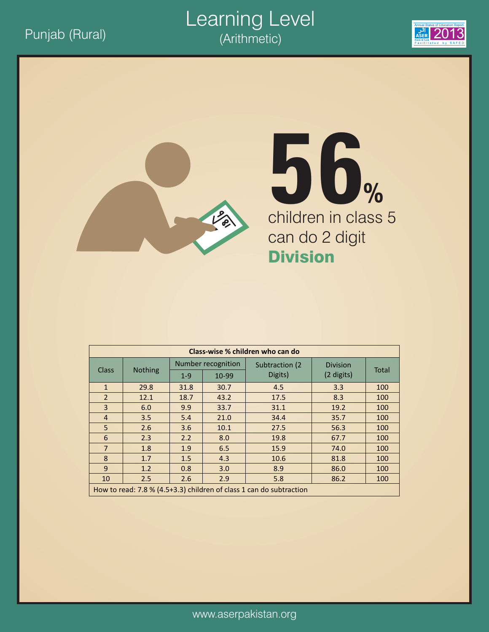#### <u>Punjab (Rural)</u> 2013 (Arithmetic) 2013 Learning Level (Arithmetic)





# children in class 5 can do 2 digit Division **56%**

| Class-wise % children who can do |                                                                     |                    |       |                 |                 |              |  |  |  |
|----------------------------------|---------------------------------------------------------------------|--------------------|-------|-----------------|-----------------|--------------|--|--|--|
|                                  |                                                                     | Number recognition |       | Subtraction (2) | <b>Division</b> |              |  |  |  |
| <b>Class</b>                     | <b>Nothing</b>                                                      | $1 - 9$            | 10-99 | Digits)         | (2 digits)      | <b>Total</b> |  |  |  |
| $\mathbf{1}$                     | 29.8                                                                | 31.8               | 30.7  | 4.5             | 3.3             | 100          |  |  |  |
| $\overline{2}$                   | 12.1                                                                | 18.7               | 43.2  | 17.5            | 8.3             | 100          |  |  |  |
| $\overline{3}$                   | 6.0                                                                 | 9.9                | 33.7  | 31.1            | 19.2            | 100          |  |  |  |
| $\overline{4}$                   | 3.5                                                                 | 5.4                | 21.0  | 34.4            | 35.7            | 100          |  |  |  |
| 5                                | 2.6                                                                 | 3.6                | 10.1  | 27.5            | 56.3            | 100          |  |  |  |
| 6                                | 2.3                                                                 | 2.2                | 8.0   | 19.8            | 67.7            | 100          |  |  |  |
| $\overline{7}$                   | 1.8                                                                 | 1.9                | 6.5   | 15.9            | 74.0            | 100          |  |  |  |
| 8                                | 1.7                                                                 | 1.5                | 4.3   | 10.6            | 81.8            | 100          |  |  |  |
| 9                                | 1.2                                                                 | 0.8                | 3.0   | 8.9             | 86.0            | 100          |  |  |  |
| 10                               | 2.5                                                                 | 2.6                | 2.9   | 5.8             | 86.2            | 100          |  |  |  |
|                                  | How to read: 7.8 % (4.5+3.3) children of class 1 can do subtraction |                    |       |                 |                 |              |  |  |  |